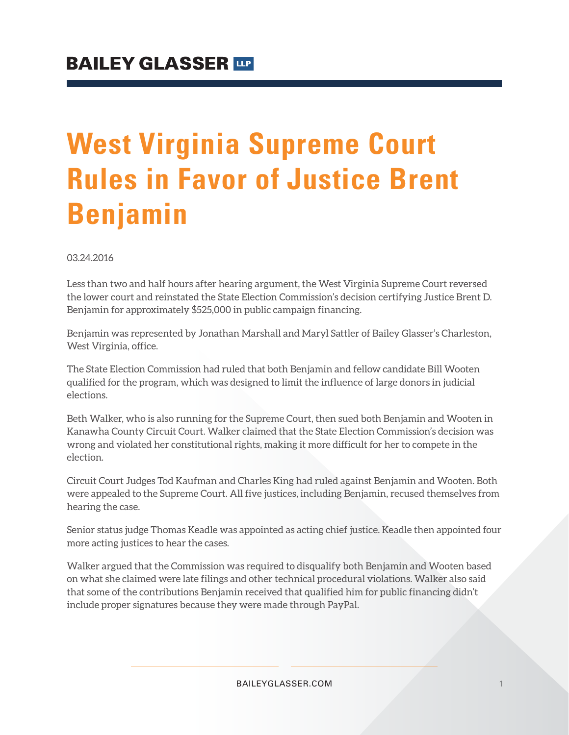## **West Virginia Supreme Court Rules in Favor of Justice Brent Benjamin**

03.24.2016

Less than two and half hours after hearing argument, the West Virginia Supreme Court reversed the lower court and reinstated the State Election Commission's decision certifying Justice Brent D. Benjamin for approximately \$525,000 in public campaign financing.

Benjamin was represented by Jonathan Marshall and Maryl Sattler of Bailey Glasser's Charleston, West Virginia, office.

The State Election Commission had ruled that both Benjamin and fellow candidate Bill Wooten qualified for the program, which was designed to limit the influence of large donors in judicial elections.

Beth Walker, who is also running for the Supreme Court, then sued both Benjamin and Wooten in Kanawha County Circuit Court. Walker claimed that the State Election Commission's decision was wrong and violated her constitutional rights, making it more difficult for her to compete in the election.

Circuit Court Judges Tod Kaufman and Charles King had ruled against Benjamin and Wooten. Both were appealed to the Supreme Court. All five justices, including Benjamin, recused themselves from hearing the case.

Senior status judge Thomas Keadle was appointed as acting chief justice. Keadle then appointed four more acting justices to hear the cases.

Walker argued that the Commission was required to disqualify both Benjamin and Wooten based on what she claimed were late filings and other technical procedural violations. Walker also said that some of the contributions Benjamin received that qualified him for public financing didn't include proper signatures because they were made through PayPal.